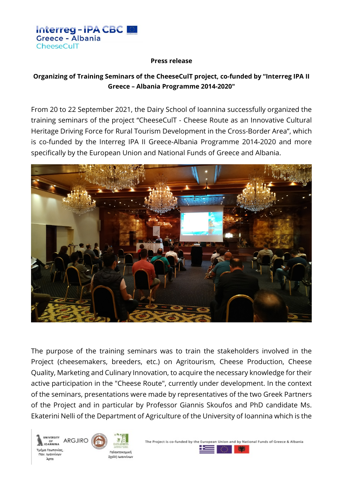

#### **Press release**

# **Organizing of Training Seminars of the CheeseCulT project, co-funded by "Interreg IPA II Greece – Albania Programme 2014-2020"**

From 20 to 22 September 2021, the Dairy School of Ioannina successfully organized the training seminars of the project "CheeseCulT - Cheese Route as an Innovative Cultural Heritage Driving Force for Rural Tourism Development in the Cross-Border Area", which is co-funded by the Interreg IPA II Greece-Albania Programme 2014-2020 and more specifically by the European Union and National Funds of Greece and Albania.



The purpose of the training seminars was to train the stakeholders involved in the Project (cheesemakers, breeders, etc.) on Agritourism, Cheese Production, Cheese Quality, Marketing and Culinary Innovation, to acquire the necessary knowledge for their active participation in the "Cheese Route", currently under development. In the context of the seminars, presentations were made by representatives of the two Greek Partners of the Project and in particular by Professor Giannis Skoufos and PhD candidate Ms. Ekaterini Nelli of the Department of Agriculture of the University of Ioannina which is the





Σχολή Ιωαννίνων

The Project is co-funded by the European Union and by National Funds of Greece & Albania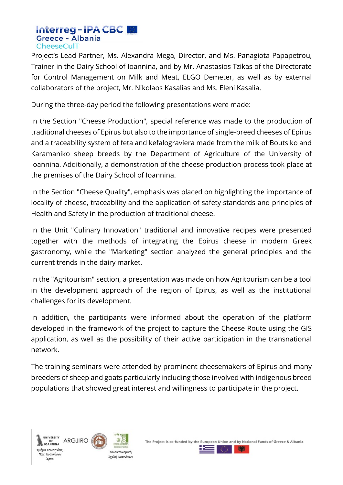## Interreg-IPA CBC **Greece - Albania** CheeseCulT

Project's Lead Partner, Ms. Alexandra Mega, Director, and Ms. Panagiota Papapetrou, Trainer in the Dairy School of Ioannina, and by Mr. Anastasios Tzikas of the Directorate for Control Management on Milk and Meat, ELGO Demeter, as well as by external collaborators of the project, Mr. Nikolaos Kasalias and Ms. Eleni Kasalia.

During the three-day period the following presentations were made:

In the Section "Cheese Production", special reference was made to the production of traditional cheeses of Epirus but also to the importance of single-breed cheeses of Epirus and a traceability system of feta and kefalograviera made from the milk of Boutsiko and Karamaniko sheep breeds by the Department of Agriculture of the University of Ioannina. Additionally, a demonstration of the cheese production process took place at the premises of the Dairy School of Ioannina.

In the Section "Cheese Quality", emphasis was placed on highlighting the importance of locality of cheese, traceability and the application of safety standards and principles of Health and Safety in the production of traditional cheese.

In the Unit "Culinary Innovation" traditional and innovative recipes were presented together with the methods of integrating the Epirus cheese in modern Greek gastronomy, while the "Marketing" section analyzed the general principles and the current trends in the dairy market.

In the "Agritourism" section, a presentation was made on how Agritourism can be a tool in the development approach of the region of Epirus, as well as the institutional challenges for its development.

In addition, the participants were informed about the operation of the platform developed in the framework of the project to capture the Cheese Route using the GIS application, as well as the possibility of their active participation in the transnational network.

The training seminars were attended by prominent cheesemakers of Epirus and many breeders of sheep and goats particularly including those involved with indigenous breed populations that showed great interest and willingness to participate in the project.





Σχολή Ιωαννίνων

The Project is co-funded by the European Union and by National Funds of Greece & Albania